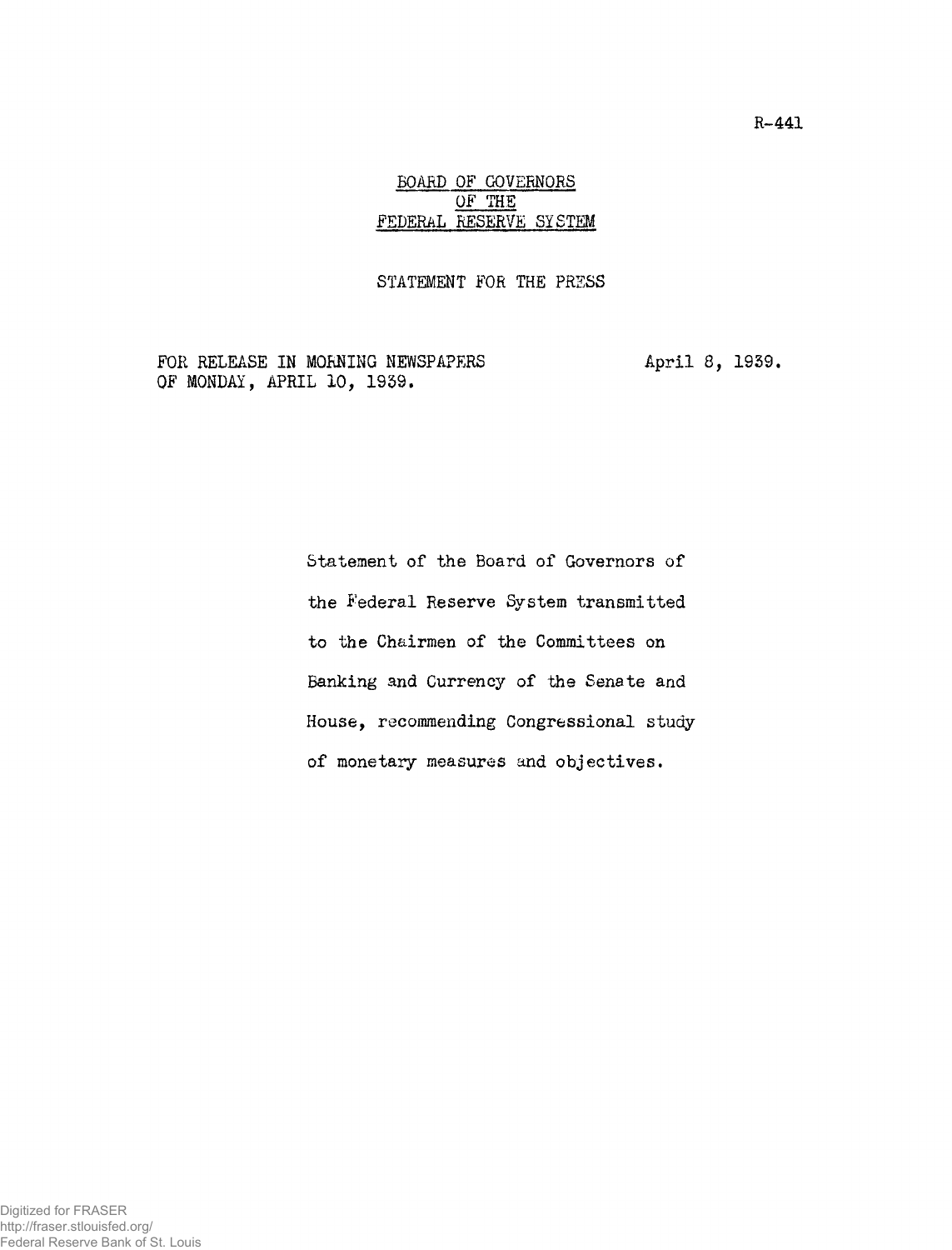## BOARD OF GOVERNORS OF THE FEDERAL RESERVE SYSTEM

## STATEMENT FOR THE PRESS

FOR RELEASE IN MORNING NEWSPAPERS April 8, 1939. OF MONDAY, APRIL 10, 1939.

Statement of the Board of Governors of the Federal Reserve System transmitted to the Chairmen of the Committees on Banking and Currency of the Senate and House, recommending Congressional study of monetary measures and objectives.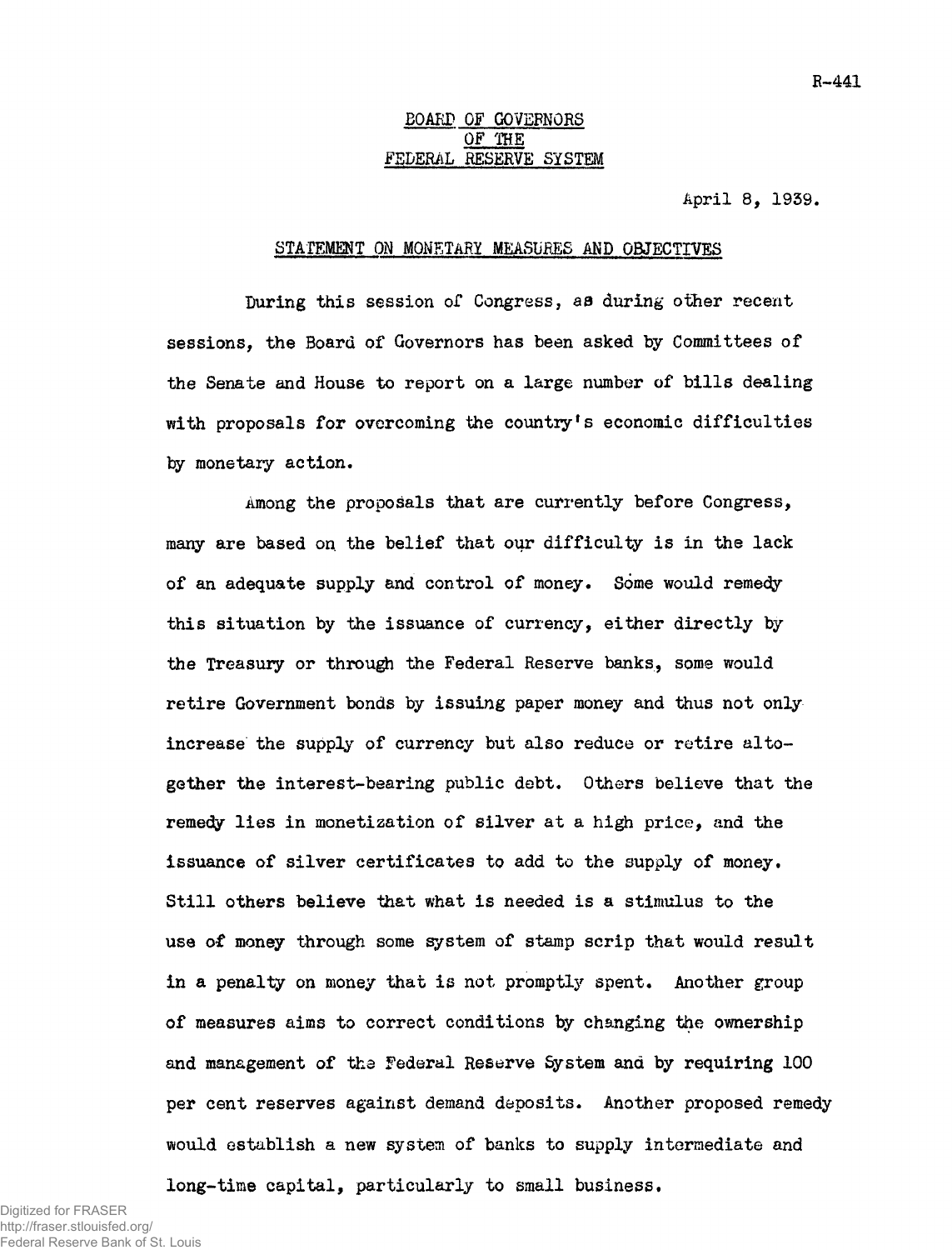## BOARD OF GOVERNORS OF THE FEDERAL RESERVE SYSTEM

April 8, 1939.

## STATEMENT ON MONETARY MEASURES AND OBJECTIVES

During this session of Congress, aa during other recent sessions, the Board of Governors has been asked by Committees of the Senate and House to report on a large number of bills dealing with proposals for overcoming the country's economic difficulties by monetary action.

Among the proposals that are currently before Congress, many are based on. the belief that our difficulty is in the lack of an adequate supply and control of money. Some would remedy this situation by the issuance of currency, either directly by the Treasury or through the Federal Reserve banks, some would retire Government bonds by issuing paper money and thus not only increase the supply of currency but also reduce or retire altogether the interest-bearing public debt. Others believe that the remedy lies in monetization of silver at a high price, and the issuance of silver certificates to add to the supply of money. Still others believe that what is needed is a stimulus to the use of money through some system of stamp scrip that would result in a penalty on money that is not promptly spent. Another group of measures aims to correct conditions by changing the ownership and management of the Federal Reserve System and by requiring 100 per cent reserves against demand deposits. Another proposed remedy would establish a new system of banks to supply intermediate and long-time capital, particularly to small business.

Digitized for FRASER http://fraser.stlouisfed.org/ Federal Reserve Bank of St. Louis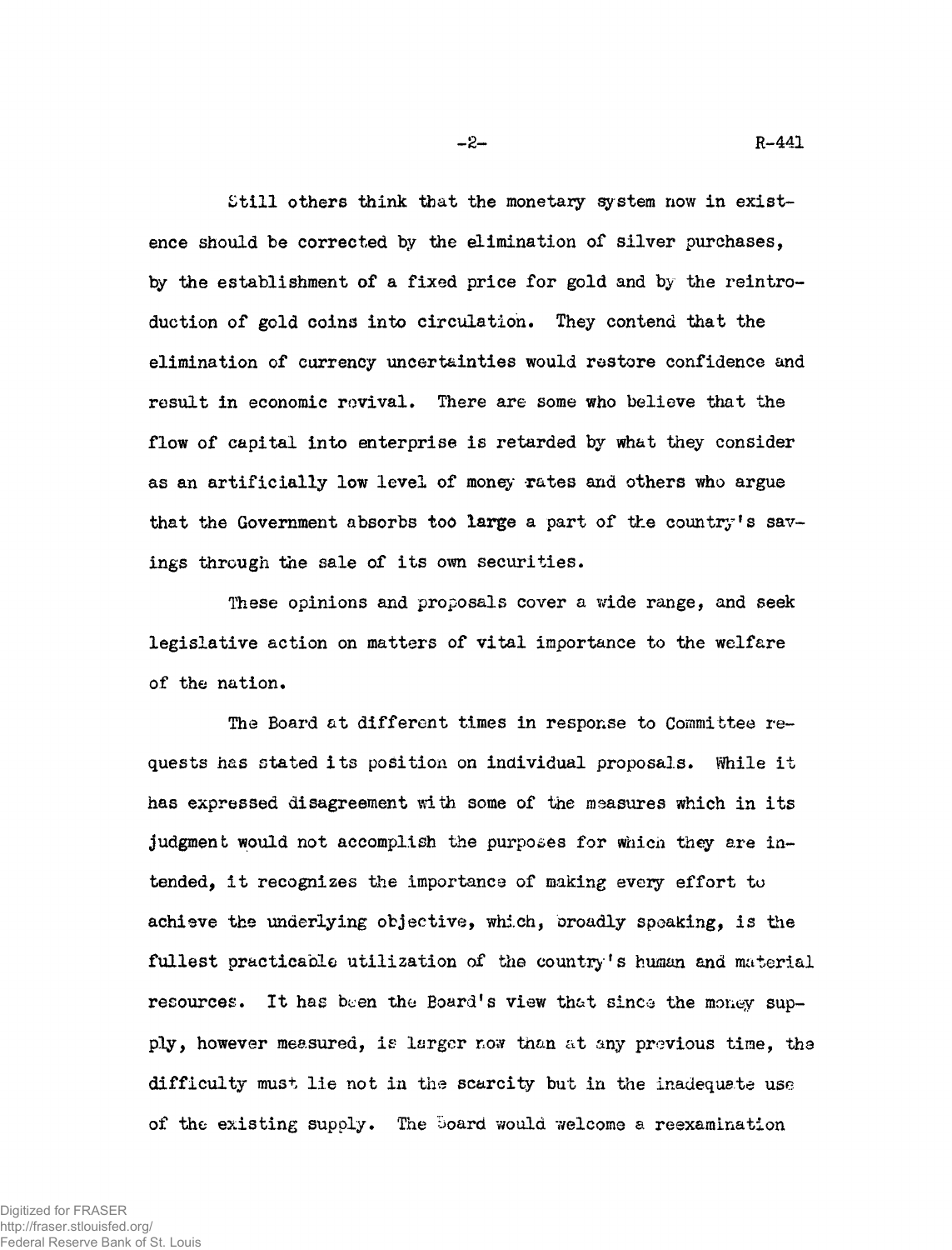Still others think that the monetary system now in existence should be corrected by the elimination of silver purchases, by the establishment of a fixed price for gold and by the reintroduction of gold coins into circulation. They contend that the elimination of currency uncertainties would restore confidence and result in economic revival. There are some who believe that the flow of capital into enterprise is retarded by what they consider as an artificially low level of money rates and others who argue that the Government absorbs too large a part of the country's savings through the sale of its own securities.

These opinions and proposals cover a wide range, and seek legislative action on matters of vital importance to the welfare of the nation.

The Board at different times in response to Committee requests has stated its position on individual proposals. While it has expressed disagreement with some of the measures which in its judgment would not accomplish the purposes for which they are intended, it recognizes the importance of making every effort to achieve the underlying objective, which, oroadly speaking, is the fullest practicable utilization of the country's human and material resources. It has been the Board's view that since the money supply, however measured, is larger now than at any previous time, the difficulty must lie not in the scarcity but in the inadequate use of the existing supply. The Board would welcome a reexamination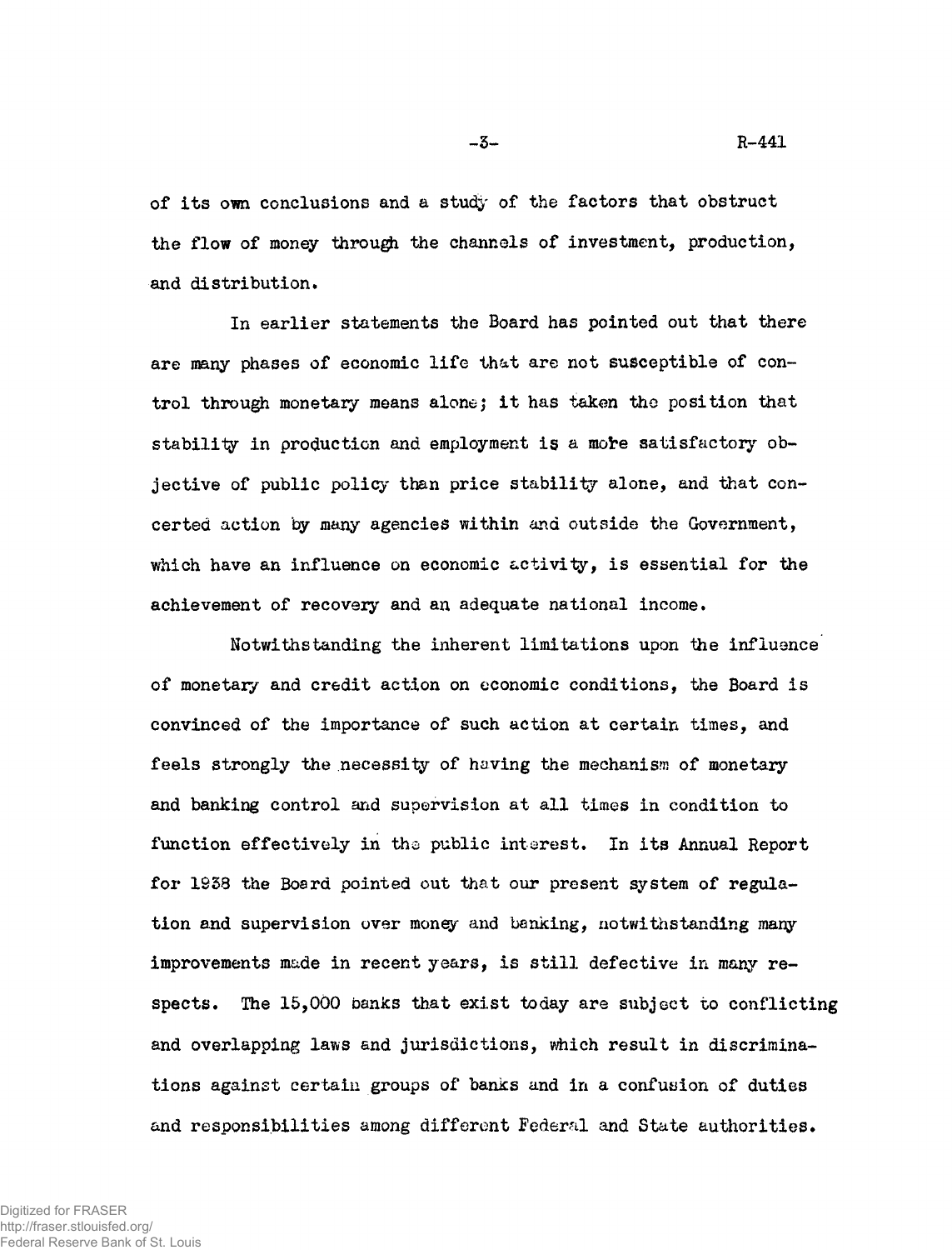of its own conclusions and a study of the factors that obstruct the flow of money through the channels of investment, production, and distribution.

In earlier statements the Board has pointed out that there are many phases of economic life that are not susceptible of control through monetary means alonej it has taken the position that stability in production and employment is a mote satisfactory objective of public policy than price stability alone, and that concerted action by many agencies within and outside the Government, which have an influence on economic activity, is essential for the achievement of recovery and an adequate national income.

Notwithstanding the inherent limitations upon the influence of monetary and credit action on economic conditions, the Board is convinced of the importance of such action at certain times, and feels strongly the necessity of having the mechanism of monetary and banking control and supervision at all times in condition to function effectively in the public interest. In its Annual Report for 1958 the Board pointed out that our present system of regulation and supervision over money and banking, notwithstanding many improvements made in recent years, is still defective in many respects. The 15,000 banks that exist today are subject to conflicting and overlapping laws and jurisdictions, which result in discriminations against certain groups of banks and in a confusion of duties and responsibilities among different Federal and State authorities.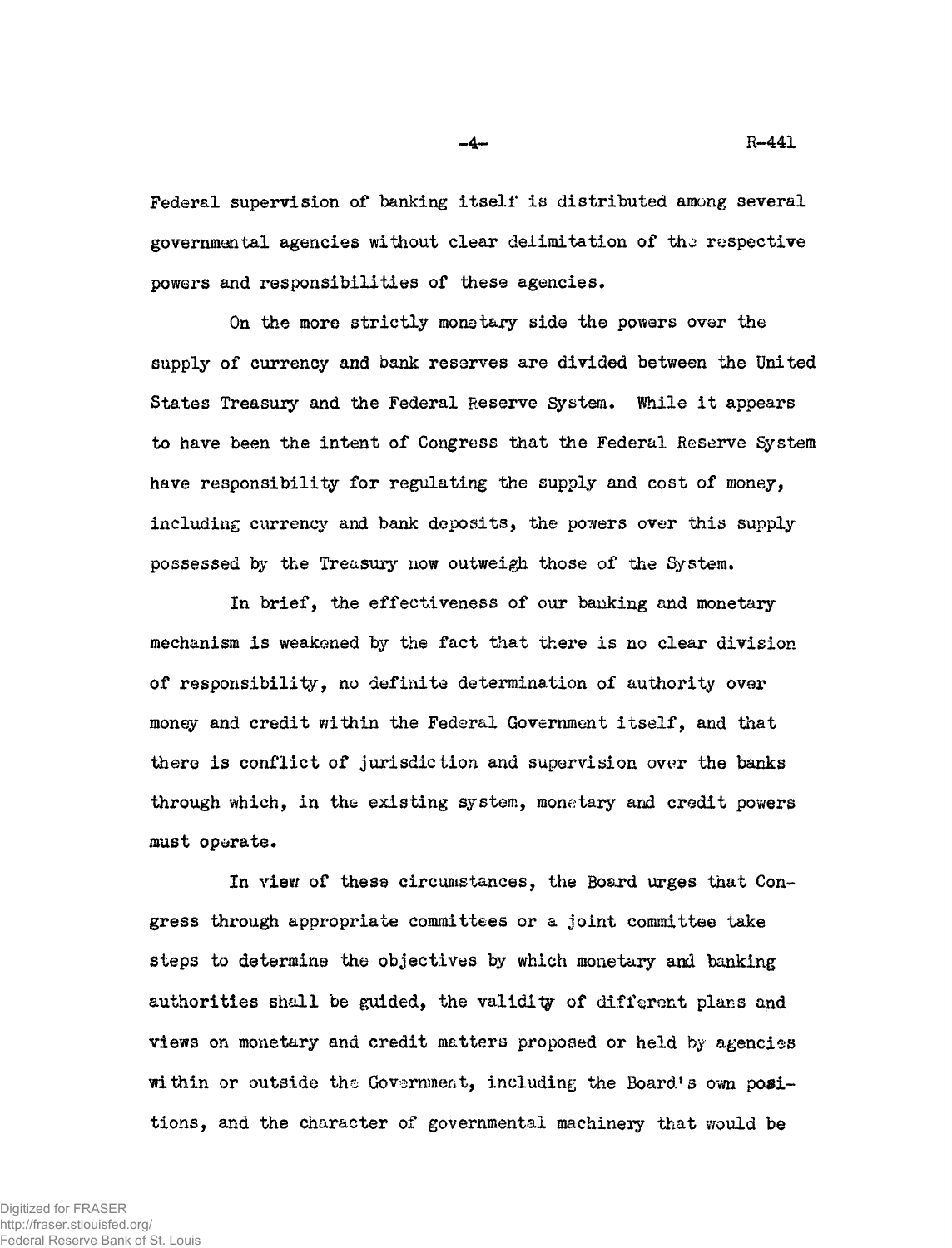Federal supervision of banking itself is distributed among several governmental agencies without clear delimitation of *tho* respective powers and responsibilities of these agencies.

On the more strictly monetary side the powers over the supply of currency and bank reserves are divided between the United States Treasury and the Federal Reserve System. While it appears to have been the intent of Congress that the Federal Reserve System have responsibility for regulating the supply and cost of money, including currency and bank deposits, the powers over this supply possessed by the Treasury now outweigh those of the System.

In brief, the effectiveness of our banking and monetary mechanism is weakened by the fact that there is no clear division of responsibility, no definite determination of authority over money and credit within the Federal Government itself, and that there is conflict of jurisdiction and supervision over the banks through which, in the existing system, monetary and credit powers must operate.

In view of these circumstances, the Board urges that Congress through appropriate committees or a joint committee take steps to determine the objectives *by* which monetary and banking authorities shall be guided, the validity of different plans and views on monetary and credit matters proposed or held by agencies within or outside the Government, including the Board's own positions, and the character of governmental machinery that would be

Digitized for FRASER http://fraser.stlouisfed.org/ Federal Reserve Bank of St. Louis  $-4-$  R-441